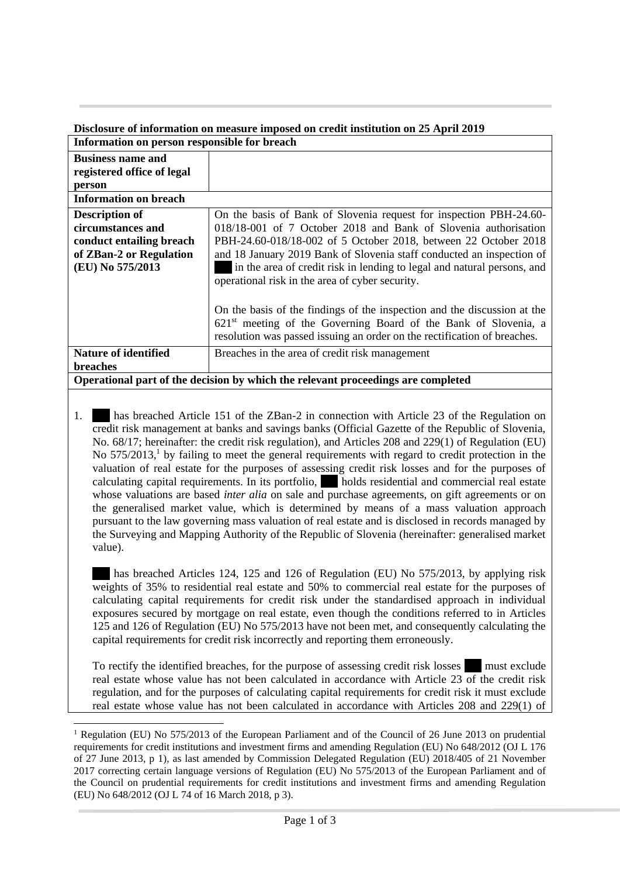## **Disclosure of information on measure imposed on credit institution on 25 April 2019 Information on person responsible for breach**

| THEOLINIATION ON DETSON FESPOIISIDIE TOT DI EACH                                 |                                                                          |
|----------------------------------------------------------------------------------|--------------------------------------------------------------------------|
| <b>Business name and</b>                                                         |                                                                          |
| registered office of legal                                                       |                                                                          |
| person                                                                           |                                                                          |
| <b>Information on breach</b>                                                     |                                                                          |
| <b>Description of</b>                                                            | On the basis of Bank of Slovenia request for inspection PBH-24.60-       |
| circumstances and                                                                | 018/18-001 of 7 October 2018 and Bank of Slovenia authorisation          |
| conduct entailing breach                                                         | PBH-24.60-018/18-002 of 5 October 2018, between 22 October 2018          |
| of ZBan-2 or Regulation                                                          | and 18 January 2019 Bank of Slovenia staff conducted an inspection of    |
| (EU) No 575/2013                                                                 | in the area of credit risk in lending to legal and natural persons, and  |
|                                                                                  | operational risk in the area of cyber security.                          |
|                                                                                  |                                                                          |
|                                                                                  | On the basis of the findings of the inspection and the discussion at the |
|                                                                                  | $621st$ meeting of the Governing Board of the Bank of Slovenia, a        |
|                                                                                  | resolution was passed issuing an order on the rectification of breaches. |
| <b>Nature of identified</b>                                                      | Breaches in the area of credit risk management                           |
| <b>breaches</b>                                                                  |                                                                          |
| Operational part of the decision by which the relevant proceedings are completed |                                                                          |

1. has breached Article 151 of the ZBan-2 in connection with Article 23 of the Regulation on credit risk management at banks and savings banks (Official Gazette of the Republic of Slovenia, No. 68/17; hereinafter: the credit risk regulation), and Articles 208 and 229(1) of Regulation (EU) No  $575/2013$ ,<sup>1</sup> by failing to meet the general requirements with regard to credit protection in the valuation of real estate for the purposes of assessing credit risk losses and for the purposes of calculating capital requirements. In its portfolio, ...... holds residential and commercial real estate whose valuations are based *inter alia* on sale and purchase agreements, on gift agreements or on the generalised market value, which is determined by means of a mass valuation approach pursuant to the law governing mass valuation of real estate and is disclosed in records managed by the Surveying and Mapping Authority of the Republic of Slovenia (hereinafter: generalised market value).

has breached Articles 124, 125 and 126 of Regulation (EU) No 575/2013, by applying risk weights of 35% to residential real estate and 50% to commercial real estate for the purposes of calculating capital requirements for credit risk under the standardised approach in individual exposures secured by mortgage on real estate, even though the conditions referred to in Articles 125 and 126 of Regulation (EU) No 575/2013 have not been met, and consequently calculating the capital requirements for credit risk incorrectly and reporting them erroneously.

To rectify the identified breaches, for the purpose of assessing credit risk losses **must exclude** real estate whose value has not been calculated in accordance with Article 23 of the credit risk regulation, and for the purposes of calculating capital requirements for credit risk it must exclude real estate whose value has not been calculated in accordance with Articles 208 and 229(1) of

1

<sup>&</sup>lt;sup>1</sup> Regulation (EU) No 575/2013 of the European Parliament and of the Council of 26 June 2013 on prudential requirements for credit institutions and investment firms and amending Regulation (EU) No 648/2012 (OJ L 176 of 27 June 2013, p 1), as last amended by Commission Delegated Regulation (EU) 2018/405 of 21 November 2017 correcting certain language versions of Regulation (EU) No 575/2013 of the European Parliament and of the Council on prudential requirements for credit institutions and investment firms and amending Regulation (EU) No 648/2012 (OJ L 74 of 16 March 2018, p 3).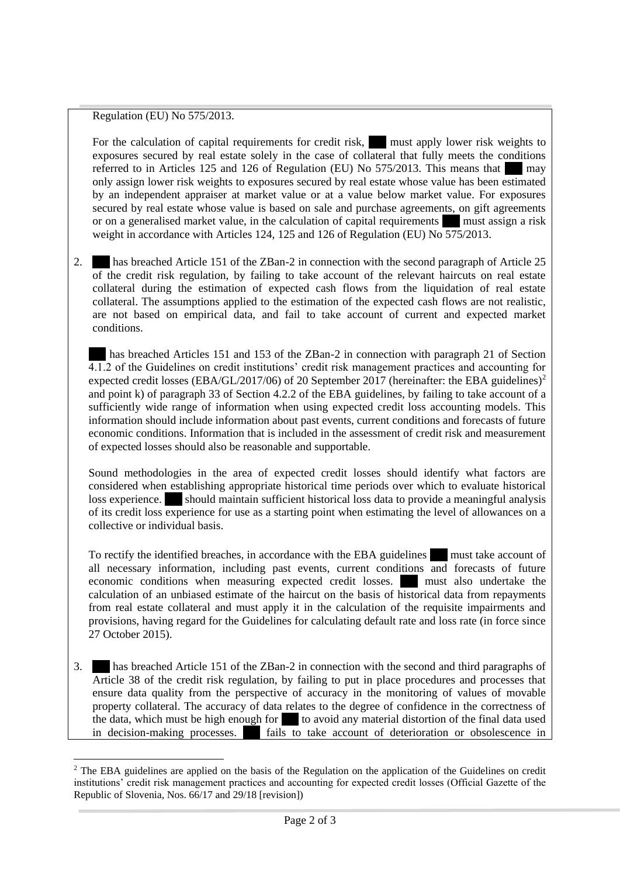## Regulation (EU) No 575/2013.

For the calculation of capital requirements for credit risk, must apply lower risk weights to exposures secured by real estate solely in the case of collateral that fully meets the conditions referred to in Articles 125 and 126 of Regulation (EU) No  $575/2013$ . This means that may only assign lower risk weights to exposures secured by real estate whose value has been estimated by an independent appraiser at market value or at a value below market value. For exposures secured by real estate whose value is based on sale and purchase agreements, on gift agreements or on a generalised market value, in the calculation of capital requirements ..... must assign a risk weight in accordance with Articles 124, 125 and 126 of Regulation (EU) No 575/2013.

2. has breached Article 151 of the ZBan-2 in connection with the second paragraph of Article 25 of the credit risk regulation, by failing to take account of the relevant haircuts on real estate collateral during the estimation of expected cash flows from the liquidation of real estate collateral. The assumptions applied to the estimation of the expected cash flows are not realistic, are not based on empirical data, and fail to take account of current and expected market conditions.

has breached Articles 151 and 153 of the ZBan-2 in connection with paragraph 21 of Section 4.1.2 of the Guidelines on credit institutions' credit risk management practices and accounting for expected credit losses (EBA/GL/2017/06) of 20 September 2017 (hereinafter: the EBA guidelines)<sup>2</sup> and point k) of paragraph 33 of Section 4.2.2 of the EBA guidelines, by failing to take account of a sufficiently wide range of information when using expected credit loss accounting models. This information should include information about past events, current conditions and forecasts of future economic conditions. Information that is included in the assessment of credit risk and measurement of expected losses should also be reasonable and supportable.

Sound methodologies in the area of expected credit losses should identify what factors are considered when establishing appropriate historical time periods over which to evaluate historical loss experience. ...... should maintain sufficient historical loss data to provide a meaningful analysis of its credit loss experience for use as a starting point when estimating the level of allowances on a collective or individual basis.

To rectify the identified breaches, in accordance with the EBA guidelines ..... must take account of all necessary information, including past events, current conditions and forecasts of future economic conditions when measuring expected credit losses. ...... must also undertake the calculation of an unbiased estimate of the haircut on the basis of historical data from repayments from real estate collateral and must apply it in the calculation of the requisite impairments and provisions, having regard for the Guidelines for calculating default rate and loss rate (in force since 27 October 2015).

3. ...... has breached Article 151 of the ZBan-2 in connection with the second and third paragraphs of Article 38 of the credit risk regulation, by failing to put in place procedures and processes that ensure data quality from the perspective of accuracy in the monitoring of values of movable property collateral. The accuracy of data relates to the degree of confidence in the correctness of the data, which must be high enough for  $\blacksquare$  to avoid any material distortion of the final data used in decision-making processes. ...... fails to take account of deterioration or obsolescence in

<sup>1</sup>  $2$  The EBA guidelines are applied on the basis of the Regulation on the application of the Guidelines on credit institutions' credit risk management practices and accounting for expected credit losses (Official Gazette of the Republic of Slovenia, Nos[. 66/17](http://www.uradni-list.si/1/objava.jsp?sop=2017-01-3104) an[d 29/18](http://www.uradni-list.si/1/objava.jsp?sop=2018-21-1344) [revision])